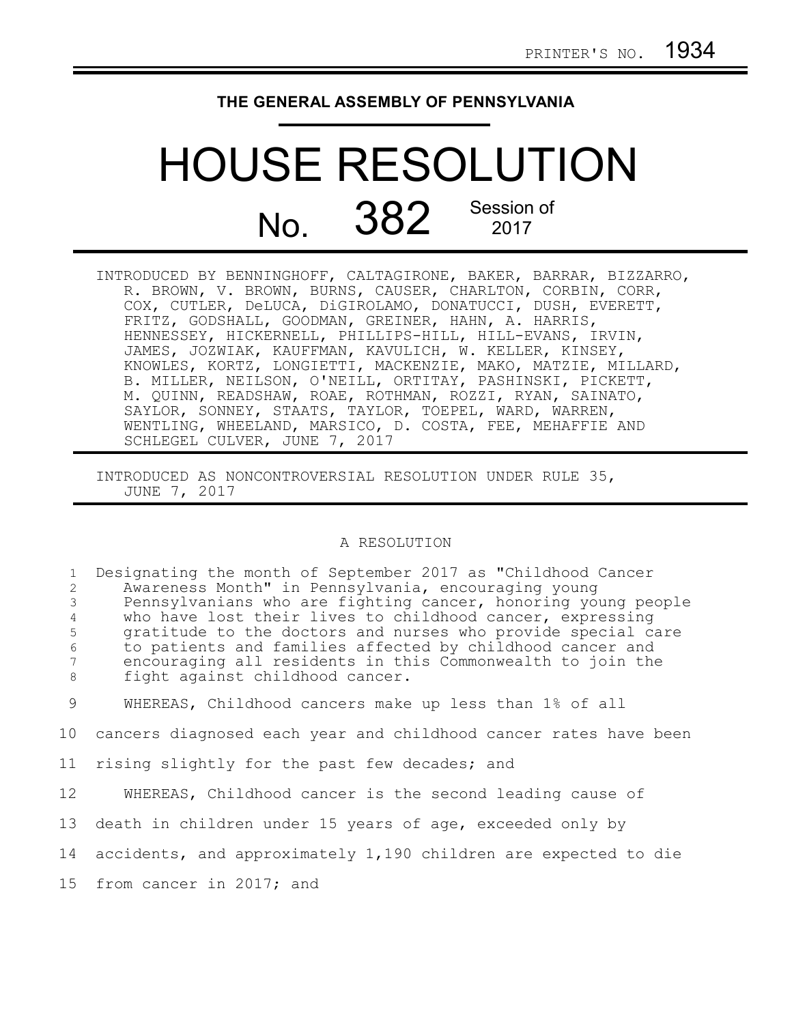## **THE GENERAL ASSEMBLY OF PENNSYLVANIA**

## HOUSE RESOLUTION No. 382 Session of

INTRODUCED BY BENNINGHOFF, CALTAGIRONE, BAKER, BARRAR, BIZZARRO, R. BROWN, V. BROWN, BURNS, CAUSER, CHARLTON, CORBIN, CORR, COX, CUTLER, DeLUCA, DiGIROLAMO, DONATUCCI, DUSH, EVERETT, FRITZ, GODSHALL, GOODMAN, GREINER, HAHN, A. HARRIS, HENNESSEY, HICKERNELL, PHILLIPS-HILL, HILL-EVANS, IRVIN, JAMES, JOZWIAK, KAUFFMAN, KAVULICH, W. KELLER, KINSEY, KNOWLES, KORTZ, LONGIETTI, MACKENZIE, MAKO, MATZIE, MILLARD, B. MILLER, NEILSON, O'NEILL, ORTITAY, PASHINSKI, PICKETT, M. QUINN, READSHAW, ROAE, ROTHMAN, ROZZI, RYAN, SAINATO, SAYLOR, SONNEY, STAATS, TAYLOR, TOEPEL, WARD, WARREN, WENTLING, WHEELAND, MARSICO, D. COSTA, FEE, MEHAFFIE AND SCHLEGEL CULVER, JUNE 7, 2017

INTRODUCED AS NONCONTROVERSIAL RESOLUTION UNDER RULE 35, JUNE 7, 2017

## A RESOLUTION

| $\mathbf{1}$<br>2<br>3<br>$\overline{4}$<br>5<br>$\sqrt{6}$<br>7<br>8 | Designating the month of September 2017 as "Childhood Cancer<br>Awareness Month" in Pennsylvania, encouraging young<br>Pennsylvanians who are fighting cancer, honoring young people<br>who have lost their lives to childhood cancer, expressing<br>gratitude to the doctors and nurses who provide special care<br>to patients and families affected by childhood cancer and<br>encouraging all residents in this Commonwealth to join the<br>fight against childhood cancer. |
|-----------------------------------------------------------------------|---------------------------------------------------------------------------------------------------------------------------------------------------------------------------------------------------------------------------------------------------------------------------------------------------------------------------------------------------------------------------------------------------------------------------------------------------------------------------------|
| 9                                                                     | WHEREAS, Childhood cancers make up less than 1% of all                                                                                                                                                                                                                                                                                                                                                                                                                          |
| 10                                                                    | cancers diagnosed each year and childhood cancer rates have been                                                                                                                                                                                                                                                                                                                                                                                                                |
| 11                                                                    | rising slightly for the past few decades; and                                                                                                                                                                                                                                                                                                                                                                                                                                   |
| 12                                                                    | WHEREAS, Childhood cancer is the second leading cause of                                                                                                                                                                                                                                                                                                                                                                                                                        |
| 13                                                                    | death in children under 15 years of age, exceeded only by                                                                                                                                                                                                                                                                                                                                                                                                                       |
|                                                                       | 14 accidents, and approximately 1,190 children are expected to die                                                                                                                                                                                                                                                                                                                                                                                                              |
|                                                                       | 15 from cancer in 2017; and                                                                                                                                                                                                                                                                                                                                                                                                                                                     |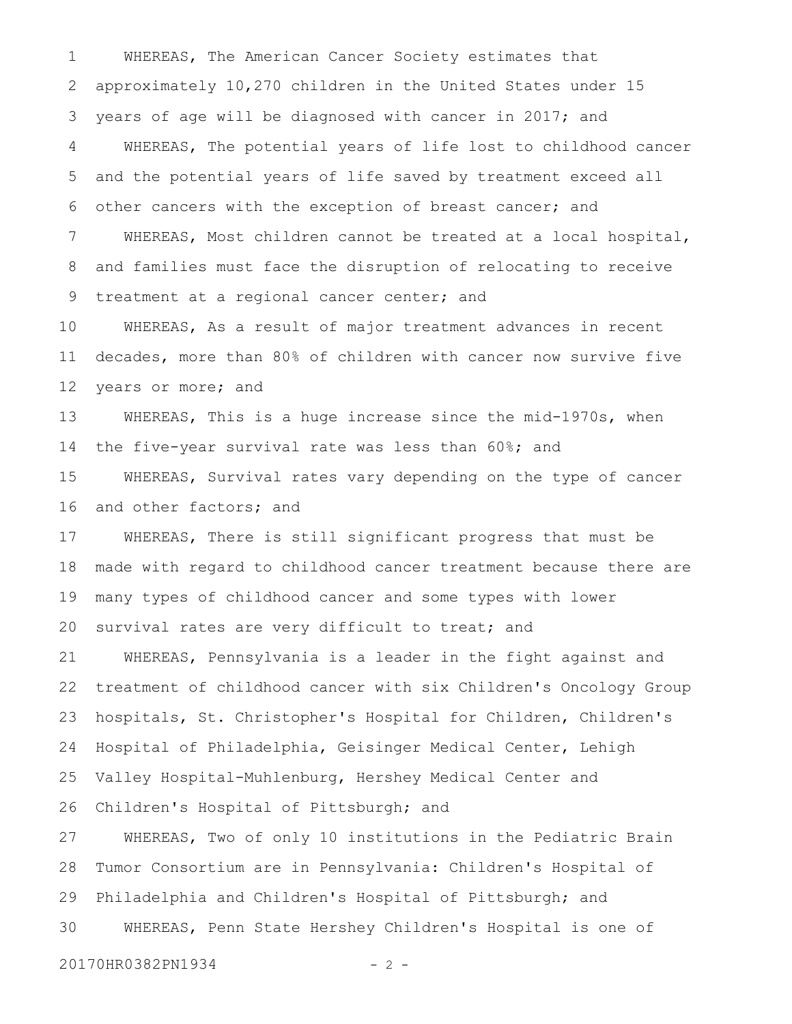WHEREAS, The American Cancer Society estimates that approximately 10,270 children in the United States under 15 years of age will be diagnosed with cancer in 2017; and WHEREAS, The potential years of life lost to childhood cancer and the potential years of life saved by treatment exceed all other cancers with the exception of breast cancer; and WHEREAS, Most children cannot be treated at a local hospital, and families must face the disruption of relocating to receive treatment at a regional cancer center; and 1 2 3 4 5 6 7 8 9

WHEREAS, As a result of major treatment advances in recent decades, more than 80% of children with cancer now survive five years or more; and 10 11 12

WHEREAS, This is a huge increase since the mid-1970s, when the five-year survival rate was less than 60%; and 13 14

WHEREAS, Survival rates vary depending on the type of cancer and other factors; and 15 16

WHEREAS, There is still significant progress that must be made with regard to childhood cancer treatment because there are many types of childhood cancer and some types with lower survival rates are very difficult to treat; and 17 18 19 20

WHEREAS, Pennsylvania is a leader in the fight against and treatment of childhood cancer with six Children's Oncology Group hospitals, St. Christopher's Hospital for Children, Children's Hospital of Philadelphia, Geisinger Medical Center, Lehigh Valley Hospital-Muhlenburg, Hershey Medical Center and Children's Hospital of Pittsburgh; and 21 22 23 24 25 26

WHEREAS, Two of only 10 institutions in the Pediatric Brain Tumor Consortium are in Pennsylvania: Children's Hospital of Philadelphia and Children's Hospital of Pittsburgh; and WHEREAS, Penn State Hershey Children's Hospital is one of 27 28 29 30

20170HR0382PN1934 - 2 -